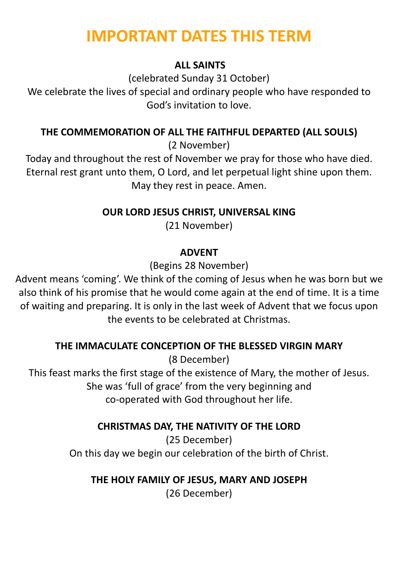# **IMPORTANT DATES THIS TERM**

### **ALL SAINTS**

(celebrated Sunday 31 October) We celebrate the lives of special and ordinary people who have responded to God's invitation to love.

## **THE COMMEMORATION OF ALL THE FAITHFUL DEPARTED (ALL SOULS)**

(2 November)

Today and throughout the rest of November we pray for those who have died. Eternal rest grant unto them, O Lord, and let perpetual light shine upon them. May they rest in peace. Amen.

**OUR LORD JESUS CHRIST, UNIVERSAL KING** 

(21 November)

## **ADVENT**

(Begins 28 November)

Advent means 'coming'. We think of the coming of Jesus when he was born but we also think of his promise that he would come again at the end of time. It is a time of waiting and preparing. It is only in the last week of Advent that we focus upon the events to be celebrated at Christmas.

# **THE IMMACULATE CONCEPTION OF THE BLESSED VIRGIN MARY**

(8 December)

This feast marks the first stage of the existence of Mary, the mother of Jesus. She was 'full of grace' from the very beginning and co-operated with God throughout her life.

**CHRISTMAS DAY, THE NATIVITY OF THE LORD** 

(25 December) On this day we begin our celebration of the birth of Christ.

**THE HOLY FAMILY OF JESUS, MARY AND JOSEPH** 

(26 December)